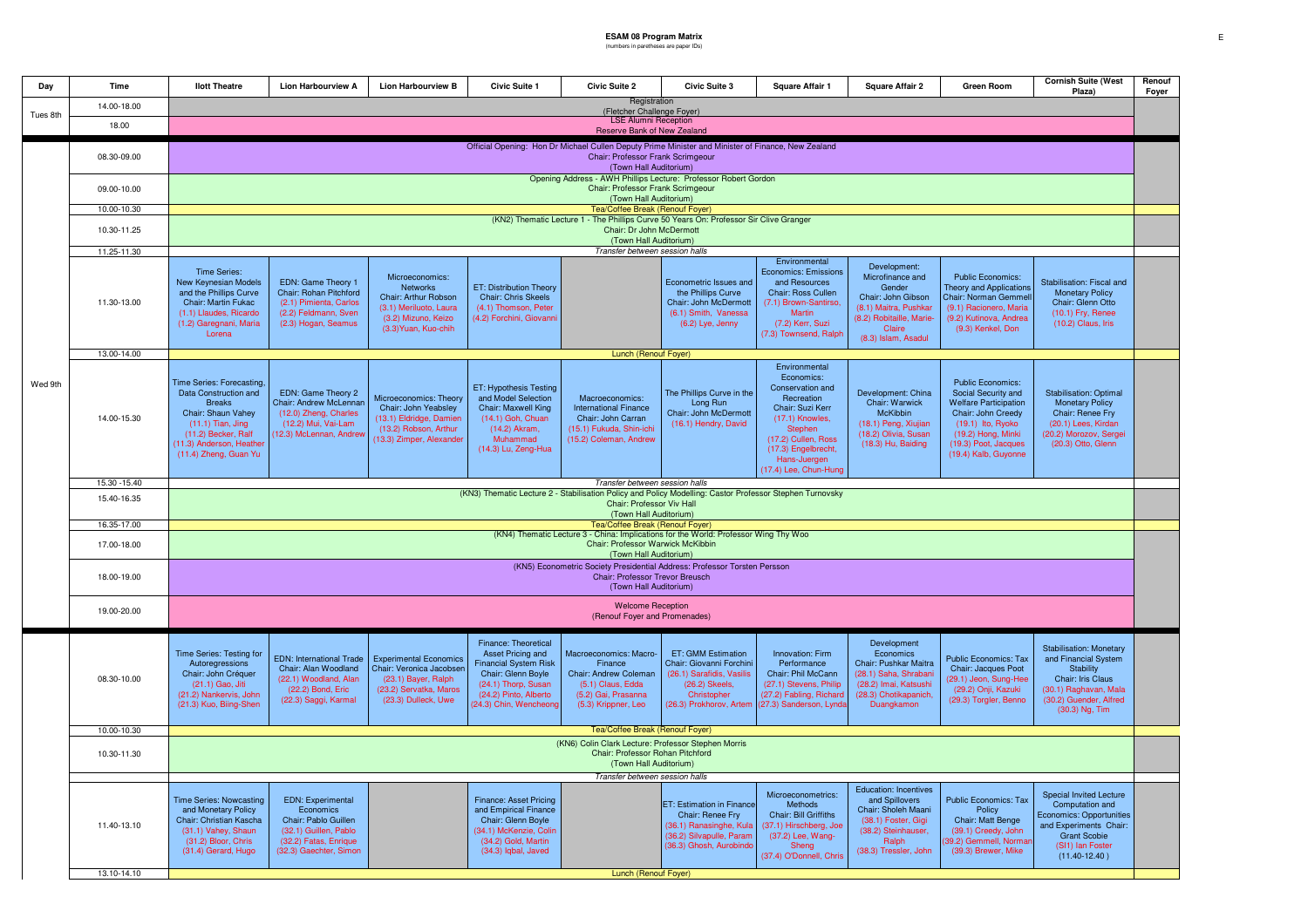## **ESAM 08 Program Matrix** (numbers in paretheses are paper IDs)

| Dav                                                                                                                                                                | <b>Time</b>                | <b>Ilott Theatre</b>                                                                                                                                                                                                                                                      | <b>Lion Harbourview A</b>                                                                                                                 | <b>Lion Harbourview B</b>                                                                                                         | <b>Civic Suite 1</b>                                                                                                                                                     | <b>Civic Suite 2</b>                                                                                                                 | <b>Civic Suite 3</b>                                                                                                                           | <b>Square Affair 1</b>                                                                                                                                                                                 | <b>Square Affair 2</b>                                                                                                                                 | <b>Green Room</b>                                                                                                                                                                                | <b>Cornish Suite (West</b><br>Plaza)                                                                                                                                           | Renouf<br>Foyer |  |
|--------------------------------------------------------------------------------------------------------------------------------------------------------------------|----------------------------|---------------------------------------------------------------------------------------------------------------------------------------------------------------------------------------------------------------------------------------------------------------------------|-------------------------------------------------------------------------------------------------------------------------------------------|-----------------------------------------------------------------------------------------------------------------------------------|--------------------------------------------------------------------------------------------------------------------------------------------------------------------------|--------------------------------------------------------------------------------------------------------------------------------------|------------------------------------------------------------------------------------------------------------------------------------------------|--------------------------------------------------------------------------------------------------------------------------------------------------------------------------------------------------------|--------------------------------------------------------------------------------------------------------------------------------------------------------|--------------------------------------------------------------------------------------------------------------------------------------------------------------------------------------------------|--------------------------------------------------------------------------------------------------------------------------------------------------------------------------------|-----------------|--|
| Tues 8th                                                                                                                                                           | 14.00-18.00                | Registration<br>(Fletcher Challenge Foyer)                                                                                                                                                                                                                                |                                                                                                                                           |                                                                                                                                   |                                                                                                                                                                          |                                                                                                                                      |                                                                                                                                                |                                                                                                                                                                                                        |                                                                                                                                                        |                                                                                                                                                                                                  |                                                                                                                                                                                |                 |  |
|                                                                                                                                                                    | 18.00                      | <b>LSE Alumni Reception</b><br>Reserve Bank of New Zealand                                                                                                                                                                                                                |                                                                                                                                           |                                                                                                                                   |                                                                                                                                                                          |                                                                                                                                      |                                                                                                                                                |                                                                                                                                                                                                        |                                                                                                                                                        |                                                                                                                                                                                                  |                                                                                                                                                                                |                 |  |
|                                                                                                                                                                    | 08.30-09.00<br>09.00-10.00 | Official Opening: Hon Dr Michael Cullen Deputy Prime Minister and Minister of Finance, New Zealand<br>Chair: Professor Frank Scrimgeour<br>(Town Hall Auditorium)<br>Opening Address - AWH Phillips Lecture: Professor Robert Gordon<br>Chair: Professor Frank Scrimgeour |                                                                                                                                           |                                                                                                                                   |                                                                                                                                                                          |                                                                                                                                      |                                                                                                                                                |                                                                                                                                                                                                        |                                                                                                                                                        |                                                                                                                                                                                                  |                                                                                                                                                                                |                 |  |
|                                                                                                                                                                    | 10.00-10.30                | (Town Hall Auditorium)<br>Tea/Coffee Break (Renouf Fover)                                                                                                                                                                                                                 |                                                                                                                                           |                                                                                                                                   |                                                                                                                                                                          |                                                                                                                                      |                                                                                                                                                |                                                                                                                                                                                                        |                                                                                                                                                        |                                                                                                                                                                                                  |                                                                                                                                                                                |                 |  |
|                                                                                                                                                                    |                            | (KN2) Thematic Lecture 1 - The Phillips Curve 50 Years On: Professor Sir Clive Granger<br>Chair: Dr John McDermott                                                                                                                                                        |                                                                                                                                           |                                                                                                                                   |                                                                                                                                                                          |                                                                                                                                      |                                                                                                                                                |                                                                                                                                                                                                        |                                                                                                                                                        |                                                                                                                                                                                                  |                                                                                                                                                                                |                 |  |
|                                                                                                                                                                    | 10.30-11.25                | (Town Hall Auditorium)                                                                                                                                                                                                                                                    |                                                                                                                                           |                                                                                                                                   |                                                                                                                                                                          |                                                                                                                                      |                                                                                                                                                |                                                                                                                                                                                                        |                                                                                                                                                        |                                                                                                                                                                                                  |                                                                                                                                                                                |                 |  |
|                                                                                                                                                                    | 11.25-11.30                | Transfer between session halls<br>Environmental                                                                                                                                                                                                                           |                                                                                                                                           |                                                                                                                                   |                                                                                                                                                                          |                                                                                                                                      |                                                                                                                                                |                                                                                                                                                                                                        |                                                                                                                                                        |                                                                                                                                                                                                  |                                                                                                                                                                                |                 |  |
|                                                                                                                                                                    | 11.30-13.00                | Time Series:<br>New Keynesian Models<br>and the Phillips Curve<br>Chair: Martin Fukac<br>(1.1) Llaudes, Ricardo<br>(1.2) Garegnani, Maria<br>Lorena                                                                                                                       | EDN: Game Theory 1<br>Chair: Rohan Pitchford<br>(2.1) Pimienta, Carlos<br>(2.2) Feldmann, Sven<br>(2.3) Hogan, Seamus                     | Microeconomics:<br>Networks<br>Chair: Arthur Robson<br>(3.1) Meriluoto, Laura<br>(3.2) Mizuno, Keizo<br>(3.3) Yuan, Kuo-chih      | ET: Distribution Theory<br><b>Chair: Chris Skeels</b><br>(4.1) Thomson, Peter<br>(4.2) Forchini, Giovanni                                                                |                                                                                                                                      | Econometric Issues and<br>the Phillips Curve<br>Chair: John McDermott<br>(6.1) Smith, Vanessa<br>(6.2) Lye, Jenny                              | <b>Economics: Emissions</b><br>and Resources<br>Chair: Ross Cullen<br>(7.1) Brown-Santirso.<br><b>Martin</b><br>(7.2) Kerr, Suzi<br>(7.3) Townsend, Ralph                                              | Development:<br>Microfinance and<br>Gender<br>Chair: John Gibson<br>(8.1) Maitra, Pushkar<br>(8.2) Robitaille, Marie-<br>Claire<br>(8.3) Islam, Asadul | <b>Public Economics:</b><br><b>Theory and Applications</b><br>Chair: Norman Gemmell<br>(9.1) Racionero, Maria<br>(9.2) Kutinova, Andrea<br>(9.3) Kenkel, Don                                     | Stabilisation: Fiscal and<br><b>Monetary Policy</b><br>Chair: Glenn Otto<br>(10.1) Fry, Renee<br>(10.2) Claus, Iris                                                            |                 |  |
|                                                                                                                                                                    | 13.00-14.00                |                                                                                                                                                                                                                                                                           |                                                                                                                                           |                                                                                                                                   |                                                                                                                                                                          | Lunch (Renouf Foyer)                                                                                                                 |                                                                                                                                                |                                                                                                                                                                                                        |                                                                                                                                                        |                                                                                                                                                                                                  |                                                                                                                                                                                |                 |  |
| Wed 9th                                                                                                                                                            | 14.00-15.30                | Time Series: Forecasting,<br>Data Construction and<br><b>Breaks</b><br>Chair: Shaun Vahey<br>$(11.1)$ Tian, Jing<br>(11.2) Becker, Ralf<br>(11.3) Anderson, Heather<br>(11.4) Zheng, Guan Yu                                                                              | EDN: Game Theory 2<br>Chair: Andrew McLennan<br>(12.0) Zheng, Charles<br>(12.2) Mui, Vai-Lam<br>12.3) McLennan, Andrev                    | Microeconomics: Theory<br>Chair: John Yeabsley<br>(13.1) Eldridge, Damien<br>(13.2) Robson, Arthur<br>(13.3) Zimper, Alexander    | ET: Hypothesis Testing<br>and Model Selection<br>Chair: Maxwell King<br>(14.1) Goh, Chuan<br>(14.2) Akram,<br>Muhammad<br>(14.3) Lu, Zeng-Hua                            | Macroeconomics:<br><b>International Finance</b><br>Chair: John Carran<br>(15.1) Fukuda, Shin-ichi<br>(15.2) Coleman, Andrew          | The Phillips Curve in the<br>Long Run<br>Chair: John McDermott<br>(16.1) Hendry, David                                                         | Environmental<br>Economics:<br>Conservation and<br>Recreation<br>Chair: Suzi Kerr<br>(17.1) Knowles,<br>Stephen<br>(17.2) Cullen, Ross<br>(17.3) Engelbrecht,<br>Hans-Juergen<br>(17.4) Lee, Chun-Hung | Development: China<br>Chair: Warwick<br>McKibbin<br>(18.1) Peng, Xiujian<br>(18.2) Olivia, Susan<br>(18.3) Hu, Baiding                                 | <b>Public Economics:</b><br>Social Security and<br><b>Welfare Participation</b><br>Chair: John Creedy<br>(19.1) Ito, Ryoko<br>(19.2) Hong, Minki<br>(19.3) Poot, Jacques<br>(19.4) Kalb, Guyonne | <b>Stabilisation: Optimal</b><br><b>Monetary Policy</b><br>Chair: Renee Fry<br>(20.1) Lees, Kirdan<br>(20.2) Morozov, Sergei<br>(20.3) Otto, Glenn                             |                 |  |
|                                                                                                                                                                    | 15.30 - 15.40              | Transfer between session halls                                                                                                                                                                                                                                            |                                                                                                                                           |                                                                                                                                   |                                                                                                                                                                          |                                                                                                                                      |                                                                                                                                                |                                                                                                                                                                                                        |                                                                                                                                                        |                                                                                                                                                                                                  |                                                                                                                                                                                |                 |  |
|                                                                                                                                                                    | 15.40-16.35                | (KN3) Thematic Lecture 2 - Stabilisation Policy and Policy Modelling: Castor Professor Stephen Turnovsky<br>Chair: Professor Viv Hall<br>(Town Hall Auditorium)                                                                                                           |                                                                                                                                           |                                                                                                                                   |                                                                                                                                                                          |                                                                                                                                      |                                                                                                                                                |                                                                                                                                                                                                        |                                                                                                                                                        |                                                                                                                                                                                                  |                                                                                                                                                                                |                 |  |
|                                                                                                                                                                    | 16.35-17.00                | Tea/Coffee Break (Renouf Foyer)<br>(KN4) Thematic Lecture 3 - China: Implications for the World: Professor Wing Thy Woo                                                                                                                                                   |                                                                                                                                           |                                                                                                                                   |                                                                                                                                                                          |                                                                                                                                      |                                                                                                                                                |                                                                                                                                                                                                        |                                                                                                                                                        |                                                                                                                                                                                                  |                                                                                                                                                                                |                 |  |
|                                                                                                                                                                    | 17.00-18.00                | Chair: Professor Warwick McKibbin<br>(Town Hall Auditorium)                                                                                                                                                                                                               |                                                                                                                                           |                                                                                                                                   |                                                                                                                                                                          |                                                                                                                                      |                                                                                                                                                |                                                                                                                                                                                                        |                                                                                                                                                        |                                                                                                                                                                                                  |                                                                                                                                                                                |                 |  |
|                                                                                                                                                                    | 18.00-19.00                | (KN5) Econometric Society Presidential Address: Professor Torsten Persson<br>Chair: Professor Trevor Breusch<br>(Town Hall Auditorium)                                                                                                                                    |                                                                                                                                           |                                                                                                                                   |                                                                                                                                                                          |                                                                                                                                      |                                                                                                                                                |                                                                                                                                                                                                        |                                                                                                                                                        |                                                                                                                                                                                                  |                                                                                                                                                                                |                 |  |
|                                                                                                                                                                    | 19.00-20.00                | <b>Welcome Reception</b><br>(Renouf Foyer and Promenades)                                                                                                                                                                                                                 |                                                                                                                                           |                                                                                                                                   |                                                                                                                                                                          |                                                                                                                                      |                                                                                                                                                |                                                                                                                                                                                                        |                                                                                                                                                        |                                                                                                                                                                                                  |                                                                                                                                                                                |                 |  |
|                                                                                                                                                                    | 08.30-10.00                | Time Series: Testing for<br>Autoregressions<br>Chair: John Créquer<br>(21.1) Gao, Jiti<br>(21.2) Nankervis, John<br>(21.3) Kuo, Biing-Shen                                                                                                                                | <b>EDN: International Trade</b><br>Chair: Alan Woodland<br>(22.1) Woodland, Alan<br>(22.2) Bond, Eric<br>(22.3) Saggi, Karmal             | <b>Experimental Economics</b><br>Chair: Veronica Jacobser<br>(23.1) Bayer, Ralph<br>(23.2) Servatka, Maros<br>(23.3) Dulleck, Uwe | Finance: Theoretical<br>Asset Pricing and<br><b>Financial System Risk</b><br>Chair: Glenn Boyle<br>(24.1) Thorp, Susan<br>(24.2) Pinto, Alberto<br>24.3) Chin, Wencheong | Macroeconomics: Macro-<br>Finance<br><b>Chair: Andrew Coleman</b><br>(5.1) Claus, Edda<br>(5.2) Gai, Prasanna<br>(5.3) Krippner, Leo | <b>ET: GMM Estimation</b><br>Chair: Giovanni Forchini<br>(26.1) Sarafidis, Vasilis<br>(26.2) Skeels,<br>Christopher<br>(26.3) Prokhorov, Artem | <b>Innovation: Firm</b><br>Performance<br>Chair: Phil McCann<br>(27.1) Stevens, Philip<br>(27.2) Fabling, Richard<br>(27.3) Sanderson, Lynda                                                           | Development<br>Economics<br>Chair: Pushkar Maitra<br>(28.1) Saha, Shrabani<br>(28.2) Imai, Katsushi<br>(28.3) Chotikapanich,<br>Duangkamon             | <b>Public Economics: Tax</b><br>Chair: Jacques Poot<br>(29.1) Jeon, Sung-Hee<br>(29.2) Onji, Kazuki<br>(29.3) Torgler, Benno                                                                     | <b>Stabilisation: Monetary</b><br>and Financial System<br>Stability<br>Chair: Iris Claus<br>(30.1) Raghavan, Mala<br>(30.2) Guender, Alfred<br>(30.3) Ng, Tim                  |                 |  |
|                                                                                                                                                                    | 10.00-10.30                |                                                                                                                                                                                                                                                                           |                                                                                                                                           |                                                                                                                                   |                                                                                                                                                                          | Tea/Coffee Break (Renouf Foyer)                                                                                                      |                                                                                                                                                |                                                                                                                                                                                                        |                                                                                                                                                        |                                                                                                                                                                                                  |                                                                                                                                                                                |                 |  |
| (KN6) Colin Clark Lecture: Professor Stephen Morris<br>10.30-11.30<br>Chair: Professor Rohan Pitchford<br>(Town Hall Auditorium)<br>Transfer between session halls |                            |                                                                                                                                                                                                                                                                           |                                                                                                                                           |                                                                                                                                   |                                                                                                                                                                          |                                                                                                                                      |                                                                                                                                                |                                                                                                                                                                                                        |                                                                                                                                                        |                                                                                                                                                                                                  |                                                                                                                                                                                |                 |  |
|                                                                                                                                                                    | 11.40-13.10                | <b>Time Series: Nowcasting</b><br>and Monetary Policy<br>Chair: Christian Kascha<br>(31.1) Vahey, Shaun<br>(31.2) Bloor, Chris<br>(31.4) Gerard, Hugo                                                                                                                     | <b>EDN: Experimental</b><br>Economics<br>Chair: Pablo Guillen<br>(32.1) Guillen, Pablo<br>(32.2) Fatas, Enrique<br>(32.3) Gaechter, Simon |                                                                                                                                   | Finance: Asset Pricing<br>and Empirical Finance<br>Chair: Glenn Boyle<br>(34.1) McKenzie, Colin<br>(34.2) Gold, Martin<br>(34.3) Iqbal, Javed                            |                                                                                                                                      | ET: Estimation in Finance<br>Chair: Renee Fry<br>(36.1) Ranasinghe, Kula<br>(36.2) Silvapulle, Param<br>36.3) Ghosh, Aurobindo                 | Microeconometrics:<br>Methods<br>Chair: Bill Griffiths<br>(37.1) Hirschberg, Joe<br>(37.2) Lee, Wang-<br>Sheng<br>(37.4) O'Donnell, Chris                                                              | <b>Education: Incentives</b><br>and Spillovers<br>Chair: Sholeh Maani<br>(38.1) Foster, Gigi<br>(38.2) Steinhauser,<br>Ralph<br>(38.3) Tressler, John  | <b>Public Economics: Tax</b><br>Policy<br>Chair: Matt Benge<br>(39.1) Creedy, John<br>39.2) Gemmell, Norma<br>(39.3) Brewer, Mike                                                                | <b>Special Invited Lecture</b><br>Computation and<br><b>Economics: Opportunities</b><br>and Experiments Chair:<br><b>Grant Scobie</b><br>(SI1) Ian Foster<br>$(11.40 - 12.40)$ |                 |  |
|                                                                                                                                                                    | 13.10-14.10                |                                                                                                                                                                                                                                                                           |                                                                                                                                           | Lunch (Renouf Foyer)                                                                                                              |                                                                                                                                                                          |                                                                                                                                      |                                                                                                                                                |                                                                                                                                                                                                        |                                                                                                                                                        |                                                                                                                                                                                                  |                                                                                                                                                                                |                 |  |